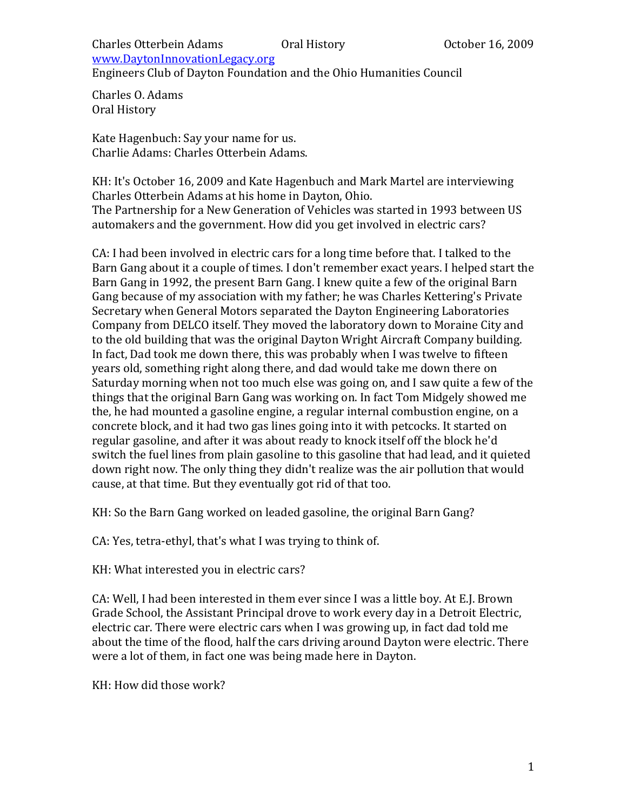Engineers Club of Dayton Foundation and the Ohio Humanities Council

Charles O. Adams Oral History

Kate Hagenbuch: Say your name for us. Charlie Adams: Charles Otterbein Adams.

KH: It's October 16, 2009 and Kate Hagenbuch and Mark Martel are interviewing Charles Otterbein Adams at his home in Dayton, Ohio. The Partnership for a New Generation of Vehicles was started in 1993 between US automakers and the government. How did you get involved in electric cars?

CA: I had been involved in electric cars for a long time before that. I talked to the Barn Gang about it a couple of times. I don't remember exact years. I helped start the Barn Gang in 1992, the present Barn Gang. I knew quite a few of the original Barn Gang because of my association with my father; he was Charles Kettering's Private Secretary when General Motors separated the Dayton Engineering Laboratories Company from DELCO itself. They moved the laboratory down to Moraine City and to the old building that was the original Dayton Wright Aircraft Company building. In fact, Dad took me down there, this was probably when I was twelve to fifteen years old, something right along there, and dad would take me down there on Saturday morning when not too much else was going on, and I saw quite a few of the things that the original Barn Gang was working on. In fact Tom Midgely showed me the, he had mounted a gasoline engine, a regular internal combustion engine, on a concrete block, and it had two gas lines going into it with petcocks. It started on regular gasoline, and after it was about ready to knock itself off the block he'd switch the fuel lines from plain gasoline to this gasoline that had lead, and it quieted down right now. The only thing they didn't realize was the air pollution that would cause, at that time. But they eventually got rid of that too.

KH: So the Barn Gang worked on leaded gasoline, the original Barn Gang?

CA: Yes, tetra-ethyl, that's what I was trying to think of.

KH: What interested you in electric cars?

CA: Well, I had been interested in them ever since I was a little boy. At E.J. Brown Grade School, the Assistant Principal drove to work every day in a Detroit Electric, electric car. There were electric cars when I was growing up, in fact dad told me about the time of the flood, half the cars driving around Dayton were electric. There were a lot of them, in fact one was being made here in Dayton.

KH: How did those work?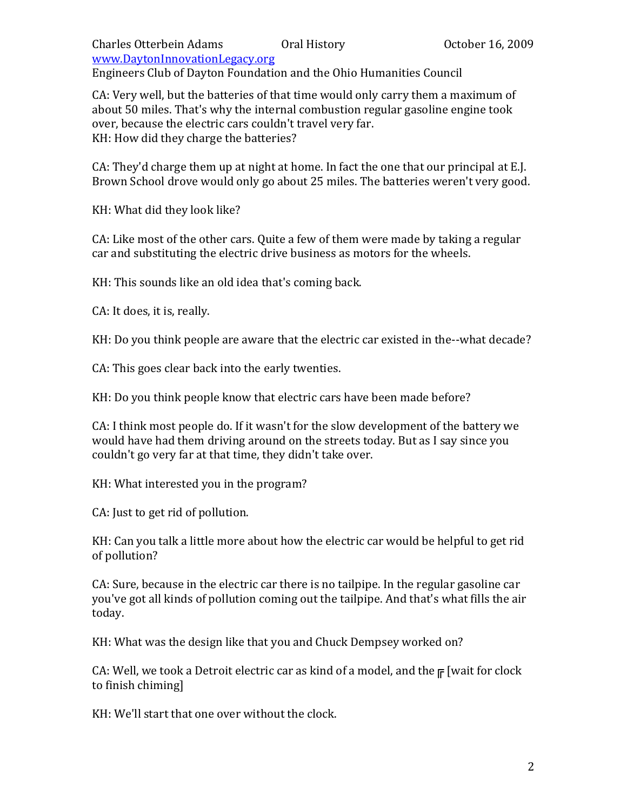Engineers Club of Dayton Foundation and the Ohio Humanities Council

CA: Very well, but the batteries of that time would only carry them a maximum of about 50 miles. That's why the internal combustion regular gasoline engine took over, because the electric cars couldn't travel very far. KH: How did they charge the batteries?

CA: They'd charge them up at night at home. In fact the one that our principal at E.J. Brown School drove would only go about 25 miles. The batteries weren't very good.

KH: What did they look like?

CA: Like most of the other cars. Quite a few of them were made by taking a regular car and substituting the electric drive business as motors for the wheels.

KH: This sounds like an old idea that's coming back.

CA: It does, it is, really.

KH: Do you think people are aware that the electric car existed in the--what decade?

CA: This goes clear back into the early twenties.

KH: Do you think people know that electric cars have been made before?

CA: I think most people do. If it wasn't for the slow development of the battery we would have had them driving around on the streets today. But as I say since you couldn't go very far at that time, they didn't take over.

KH: What interested you in the program?

CA: Just to get rid of pollution.

KH: Can you talk a little more about how the electric car would be helpful to get rid of pollution?

CA: Sure, because in the electric car there is no tailpipe. In the regular gasoline car you've got all kinds of pollution coming out the tailpipe. And that's what fills the air today.

KH: What was the design like that you and Chuck Dempsey worked on?

CA: Well, we took a Detroit electric car as kind of a model, and the  $F$  [wait for clock] to finish chiming]

KH: We'll start that one over without the clock.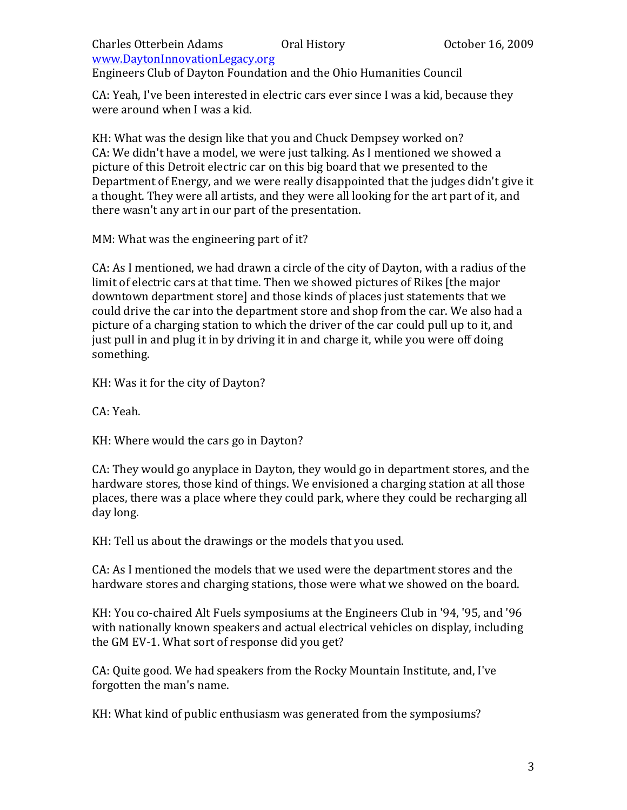# Charles Otterbein Adams Oral History October 16, 2009

www.DaytonInnovationLegacy.org

Engineers Club of Dayton Foundation and the Ohio Humanities Council

CA: Yeah, I've been interested in electric cars ever since I was a kid, because they were around when I was a kid.

KH: What was the design like that you and Chuck Dempsey worked on? CA: We didn't have a model, we were just talking. As I mentioned we showed a picture of this Detroit electric car on this big board that we presented to the Department of Energy, and we were really disappointed that the judges didn't give it a thought. They were all artists, and they were all looking for the art part of it, and there wasn't any art in our part of the presentation.

MM: What was the engineering part of it?

CA: As I mentioned, we had drawn a circle of the city of Dayton, with a radius of the limit of electric cars at that time. Then we showed pictures of Rikes [the major downtown department store] and those kinds of places just statements that we could drive the car into the department store and shop from the car. We also had a picture of a charging station to which the driver of the car could pull up to it, and just pull in and plug it in by driving it in and charge it, while you were off doing something.

KH: Was it for the city of Dayton?

CA: Yeah.

KH: Where would the cars go in Dayton?

CA: They would go anyplace in Dayton, they would go in department stores, and the hardware stores, those kind of things. We envisioned a charging station at all those places, there was a place where they could park, where they could be recharging all day long.

KH: Tell us about the drawings or the models that you used.

CA: As I mentioned the models that we used were the department stores and the hardware stores and charging stations, those were what we showed on the board.

KH: You co-chaired Alt Fuels symposiums at the Engineers Club in '94, '95, and '96 with nationally known speakers and actual electrical vehicles on display, including the GM EV-1. What sort of response did you get?

CA: Quite good. We had speakers from the Rocky Mountain Institute, and, I've forgotten the man's name.

KH: What kind of public enthusiasm was generated from the symposiums?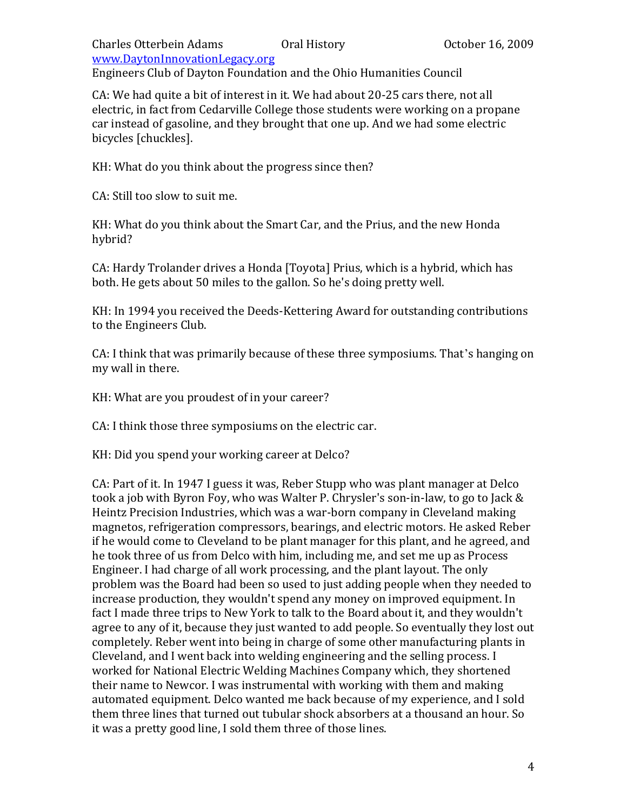Engineers Club of Dayton Foundation and the Ohio Humanities Council

CA: We had quite a bit of interest in it. We had about 20-25 cars there, not all electric, in fact from Cedarville College those students were working on a propane car instead of gasoline, and they brought that one up. And we had some electric bicycles [chuckles].

KH: What do you think about the progress since then?

CA: Still too slow to suit me.

KH: What do you think about the Smart Car, and the Prius, and the new Honda hybrid?

CA: Hardy Trolander drives a Honda [Toyota] Prius, which is a hybrid, which has both. He gets about 50 miles to the gallon. So he's doing pretty well.

KH: In 1994 you received the Deeds-Kettering Award for outstanding contributions to the Engineers Club.

CA: I think that was primarily because of these three symposiums. That's hanging on my wall in there.

KH: What are you proudest of in your career?

CA: I think those three symposiums on the electric car.

KH: Did you spend your working career at Delco?

CA: Part of it. In 1947 I guess it was, Reber Stupp who was plant manager at Delco took a job with Byron Foy, who was Walter P. Chrysler's son-in-law, to go to Jack & Heintz Precision Industries, which was a war-born company in Cleveland making magnetos, refrigeration compressors, bearings, and electric motors. He asked Reber if he would come to Cleveland to be plant manager for this plant, and he agreed, and he took three of us from Delco with him, including me, and set me up as Process Engineer. I had charge of all work processing, and the plant layout. The only problem was the Board had been so used to just adding people when they needed to increase production, they wouldn't spend any money on improved equipment. In fact I made three trips to New York to talk to the Board about it, and they wouldn't agree to any of it, because they just wanted to add people. So eventually they lost out completely. Reber went into being in charge of some other manufacturing plants in Cleveland, and I went back into welding engineering and the selling process. I worked for National Electric Welding Machines Company which, they shortened their name to Newcor. I was instrumental with working with them and making automated equipment. Delco wanted me back because of my experience, and I sold them three lines that turned out tubular shock absorbers at a thousand an hour. So it was a pretty good line, I sold them three of those lines.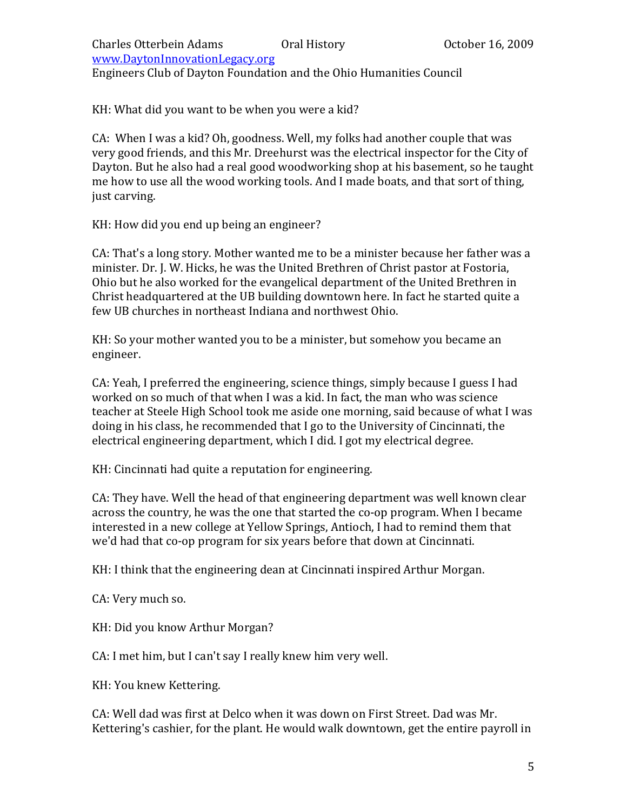Charles Otterbein Adams Oral History October 16, 2009 www.DaytonInnovationLegacy.org Engineers Club of Dayton Foundation and the Ohio Humanities Council

KH: What did you want to be when you were a kid?

CA: When I was a kid? Oh, goodness. Well, my folks had another couple that was very good friends, and this Mr. Dreehurst was the electrical inspector for the City of Dayton. But he also had a real good woodworking shop at his basement, so he taught me how to use all the wood working tools. And I made boats, and that sort of thing, just carving.

KH: How did you end up being an engineer?

CA: That's a long story. Mother wanted me to be a minister because her father was a minister. Dr. J. W. Hicks, he was the United Brethren of Christ pastor at Fostoria, Ohio but he also worked for the evangelical department of the United Brethren in Christ headquartered at the UB building downtown here. In fact he started quite a few UB churches in northeast Indiana and northwest Ohio.

KH: So your mother wanted you to be a minister, but somehow you became an engineer.

CA: Yeah, I preferred the engineering, science things, simply because I guess I had worked on so much of that when I was a kid. In fact, the man who was science teacher at Steele High School took me aside one morning, said because of what I was doing in his class, he recommended that I go to the University of Cincinnati, the electrical engineering department, which I did. I got my electrical degree.

KH: Cincinnati had quite a reputation for engineering.

CA: They have. Well the head of that engineering department was well known clear across the country, he was the one that started the co-op program. When I became interested in a new college at Yellow Springs, Antioch, I had to remind them that we'd had that co-op program for six years before that down at Cincinnati.

KH: I think that the engineering dean at Cincinnati inspired Arthur Morgan.

CA: Very much so.

KH: Did you know Arthur Morgan?

CA: I met him, but I can't say I really knew him very well.

KH: You knew Kettering.

CA: Well dad was first at Delco when it was down on First Street. Dad was Mr. Kettering's cashier, for the plant. He would walk downtown, get the entire payroll in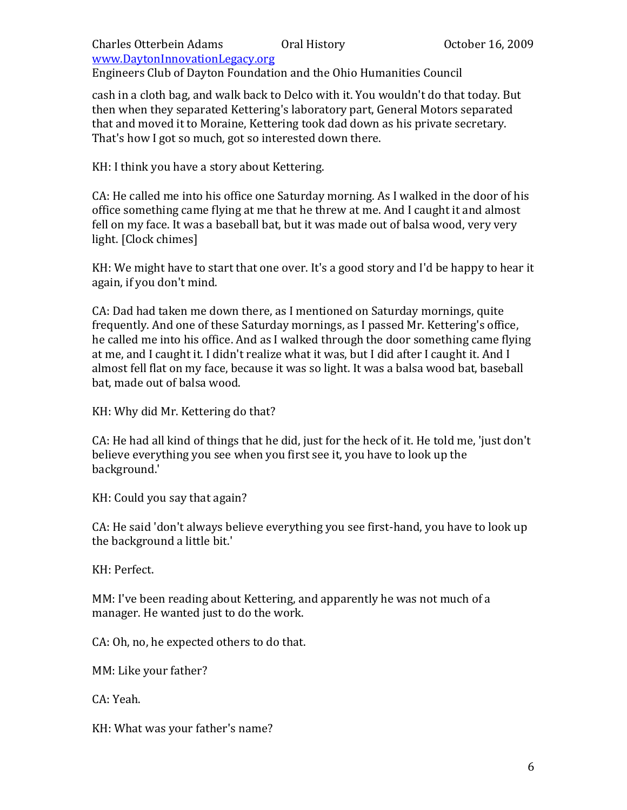Engineers Club of Dayton Foundation and the Ohio Humanities Council

cash in a cloth bag, and walk back to Delco with it. You wouldn't do that today. But then when they separated Kettering's laboratory part, General Motors separated that and moved it to Moraine, Kettering took dad down as his private secretary. That's how I got so much, got so interested down there.

KH: I think you have a story about Kettering.

CA: He called me into his office one Saturday morning. As I walked in the door of his office something came flying at me that he threw at me. And I caught it and almost fell on my face. It was a baseball bat, but it was made out of balsa wood, very very light. [Clock chimes]

KH: We might have to start that one over. It's a good story and I'd be happy to hear it again, if you don't mind.

CA: Dad had taken me down there, as I mentioned on Saturday mornings, quite frequently. And one of these Saturday mornings, as I passed Mr. Kettering's office, he called me into his office. And as I walked through the door something came flying at me, and I caught it. I didn't realize what it was, but I did after I caught it. And I almost fell flat on my face, because it was so light. It was a balsa wood bat, baseball bat, made out of balsa wood.

KH: Why did Mr. Kettering do that?

CA: He had all kind of things that he did, just for the heck of it. He told me, 'just don't believe everything you see when you first see it, you have to look up the background.'

KH: Could you say that again?

CA: He said 'don't always believe everything you see first-hand, you have to look up the background a little bit.'

KH: Perfect.

MM: I've been reading about Kettering, and apparently he was not much of a manager. He wanted just to do the work.

CA: Oh, no, he expected others to do that.

MM: Like your father?

CA: Yeah.

KH: What was your father's name?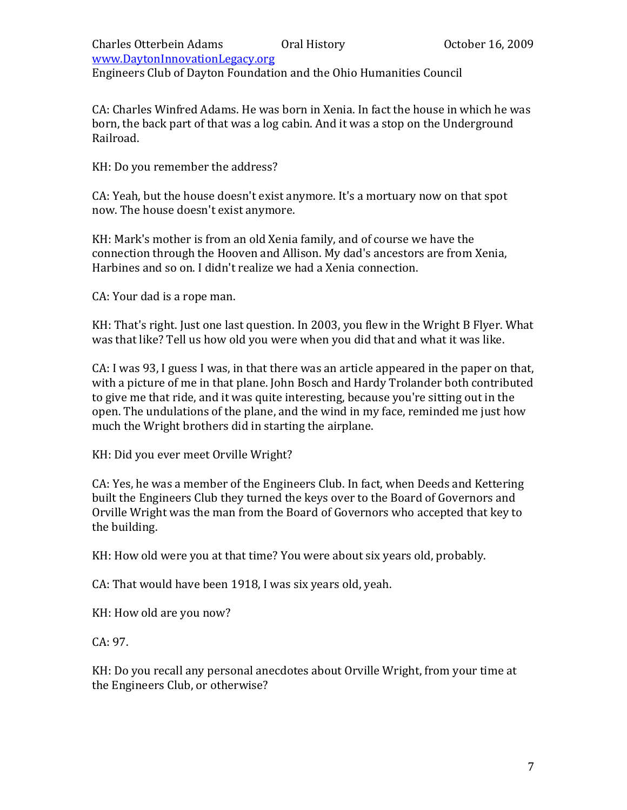## Charles Otterbein Adams Oral History October 16, 2009 www.DaytonInnovationLegacy.org Engineers Club of Dayton Foundation and the Ohio Humanities Council

CA: Charles Winfred Adams. He was born in Xenia. In fact the house in which he was born, the back part of that was a log cabin. And it was a stop on the Underground Railroad.

KH: Do you remember the address?

CA: Yeah, but the house doesn't exist anymore. It's a mortuary now on that spot now. The house doesn't exist anymore.

KH: Mark's mother is from an old Xenia family, and of course we have the connection through the Hooven and Allison. My dad's ancestors are from Xenia, Harbines and so on. I didn't realize we had a Xenia connection.

CA: Your dad is a rope man.

KH: That's right. Just one last question. In 2003, you flew in the Wright B Flyer. What was that like? Tell us how old you were when you did that and what it was like.

CA: I was 93, I guess I was, in that there was an article appeared in the paper on that, with a picture of me in that plane. John Bosch and Hardy Trolander both contributed to give me that ride, and it was quite interesting, because you're sitting out in the open. The undulations of the plane, and the wind in my face, reminded me just how much the Wright brothers did in starting the airplane.

KH: Did you ever meet Orville Wright?

CA: Yes, he was a member of the Engineers Club. In fact, when Deeds and Kettering built the Engineers Club they turned the keys over to the Board of Governors and Orville Wright was the man from the Board of Governors who accepted that key to the building.

KH: How old were you at that time? You were about six years old, probably.

CA: That would have been 1918, I was six years old, yeah.

KH: How old are you now?

CA: 97.

KH: Do you recall any personal anecdotes about Orville Wright, from your time at the Engineers Club, or otherwise?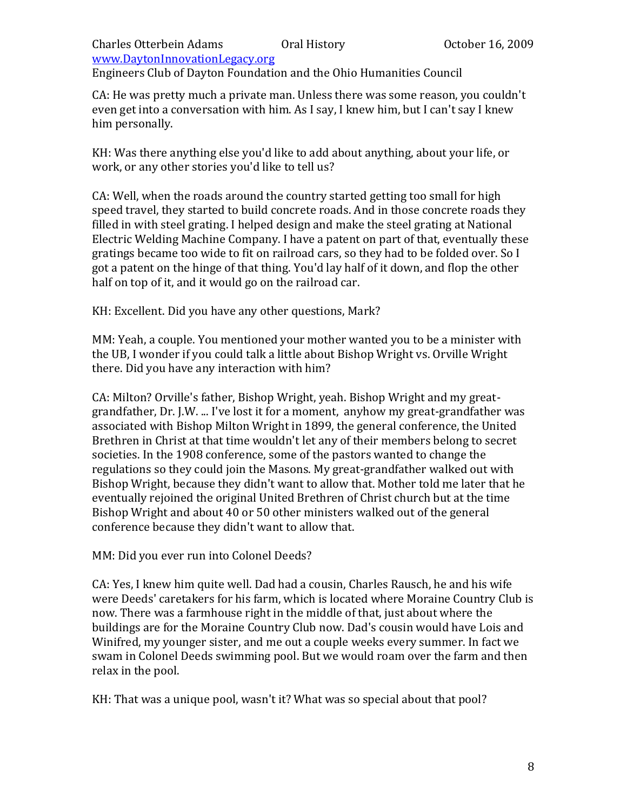Engineers Club of Dayton Foundation and the Ohio Humanities Council

CA: He was pretty much a private man. Unless there was some reason, you couldn't even get into a conversation with him. As I say, I knew him, but I can't say I knew him personally.

KH: Was there anything else you'd like to add about anything, about your life, or work, or any other stories you'd like to tell us?

CA: Well, when the roads around the country started getting too small for high speed travel, they started to build concrete roads. And in those concrete roads they filled in with steel grating. I helped design and make the steel grating at National Electric Welding Machine Company. I have a patent on part of that, eventually these gratings became too wide to fit on railroad cars, so they had to be folded over. So I got a patent on the hinge of that thing. You'd lay half of it down, and flop the other half on top of it, and it would go on the railroad car.

KH: Excellent. Did you have any other questions, Mark?

MM: Yeah, a couple. You mentioned your mother wanted you to be a minister with the UB, I wonder if you could talk a little about Bishop Wright vs. Orville Wright there. Did you have any interaction with him?

CA: Milton? Orville's father, Bishop Wright, yeah. Bishop Wright and my greatgrandfather, Dr. J.W. ... I've lost it for a moment, anyhow my great-grandfather was associated with Bishop Milton Wright in 1899, the general conference, the United Brethren in Christ at that time wouldn't let any of their members belong to secret societies. In the 1908 conference, some of the pastors wanted to change the regulations so they could join the Masons. My great-grandfather walked out with Bishop Wright, because they didn't want to allow that. Mother told me later that he eventually rejoined the original United Brethren of Christ church but at the time Bishop Wright and about 40 or 50 other ministers walked out of the general conference because they didn't want to allow that.

MM: Did you ever run into Colonel Deeds?

CA: Yes, I knew him quite well. Dad had a cousin, Charles Rausch, he and his wife were Deeds' caretakers for his farm, which is located where Moraine Country Club is now. There was a farmhouse right in the middle of that, just about where the buildings are for the Moraine Country Club now. Dad's cousin would have Lois and Winifred, my younger sister, and me out a couple weeks every summer. In fact we swam in Colonel Deeds swimming pool. But we would roam over the farm and then relax in the pool.

KH: That was a unique pool, wasn't it? What was so special about that pool?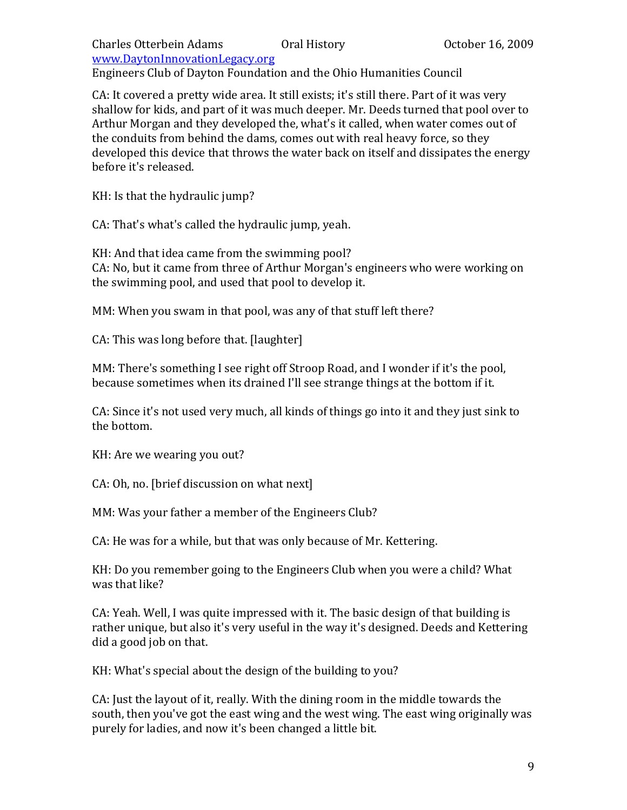Engineers Club of Dayton Foundation and the Ohio Humanities Council

CA: It covered a pretty wide area. It still exists; it's still there. Part of it was very shallow for kids, and part of it was much deeper. Mr. Deeds turned that pool over to Arthur Morgan and they developed the, what's it called, when water comes out of the conduits from behind the dams, comes out with real heavy force, so they developed this device that throws the water back on itself and dissipates the energy before it's released.

KH: Is that the hydraulic jump?

CA: That's what's called the hydraulic jump, yeah.

KH: And that idea came from the swimming pool? CA: No, but it came from three of Arthur Morgan's engineers who were working on the swimming pool, and used that pool to develop it.

MM: When you swam in that pool, was any of that stuff left there?

CA: This was long before that. [laughter]

MM: There's something I see right off Stroop Road, and I wonder if it's the pool, because sometimes when its drained I'll see strange things at the bottom if it.

CA: Since it's not used very much, all kinds of things go into it and they just sink to the bottom.

KH: Are we wearing you out?

CA: Oh, no. [brief discussion on what next]

MM: Was your father a member of the Engineers Club?

CA: He was for a while, but that was only because of Mr. Kettering.

KH: Do you remember going to the Engineers Club when you were a child? What was that like?

CA: Yeah. Well, I was quite impressed with it. The basic design of that building is rather unique, but also it's very useful in the way it's designed. Deeds and Kettering did a good job on that.

KH: What's special about the design of the building to you?

CA: Just the layout of it, really. With the dining room in the middle towards the south, then you've got the east wing and the west wing. The east wing originally was purely for ladies, and now it's been changed a little bit.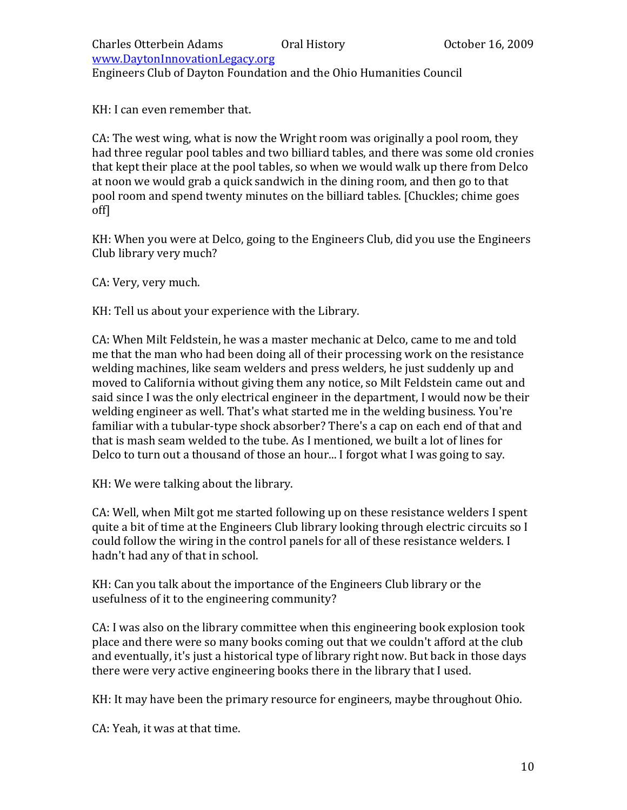Charles Otterbein Adams Oral History October 16, 2009 www.DaytonInnovationLegacy.org Engineers Club of Dayton Foundation and the Ohio Humanities Council

KH: I can even remember that.

CA: The west wing, what is now the Wright room was originally a pool room, they had three regular pool tables and two billiard tables, and there was some old cronies that kept their place at the pool tables, so when we would walk up there from Delco at noon we would grab a quick sandwich in the dining room, and then go to that pool room and spend twenty minutes on the billiard tables. [Chuckles; chime goes off]

KH: When you were at Delco, going to the Engineers Club, did you use the Engineers Club library very much?

CA: Very, very much.

KH: Tell us about your experience with the Library.

CA: When Milt Feldstein, he was a master mechanic at Delco, came to me and told me that the man who had been doing all of their processing work on the resistance welding machines, like seam welders and press welders, he just suddenly up and moved to California without giving them any notice, so Milt Feldstein came out and said since I was the only electrical engineer in the department, I would now be their welding engineer as well. That's what started me in the welding business. You're familiar with a tubular-type shock absorber? There's a cap on each end of that and that is mash seam welded to the tube. As I mentioned, we built a lot of lines for Delco to turn out a thousand of those an hour... I forgot what I was going to say.

KH: We were talking about the library.

CA: Well, when Milt got me started following up on these resistance welders I spent quite a bit of time at the Engineers Club library looking through electric circuits so I could follow the wiring in the control panels for all of these resistance welders. I hadn't had any of that in school.

KH: Can you talk about the importance of the Engineers Club library or the usefulness of it to the engineering community?

CA: I was also on the library committee when this engineering book explosion took place and there were so many books coming out that we couldn't afford at the club and eventually, it's just a historical type of library right now. But back in those days there were very active engineering books there in the library that I used.

KH: It may have been the primary resource for engineers, maybe throughout Ohio.

CA: Yeah, it was at that time.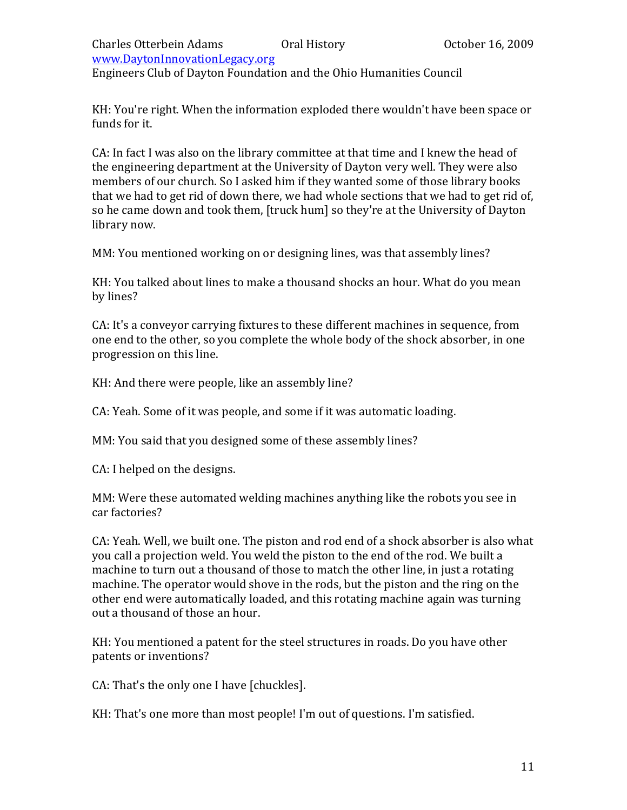# Charles Otterbein Adams Oral History October 16, 2009

www.DaytonInnovationLegacy.org

Engineers Club of Dayton Foundation and the Ohio Humanities Council

KH: You're right. When the information exploded there wouldn't have been space or funds for it.

CA: In fact I was also on the library committee at that time and I knew the head of the engineering department at the University of Dayton very well. They were also members of our church. So I asked him if they wanted some of those library books that we had to get rid of down there, we had whole sections that we had to get rid of, so he came down and took them, [truck hum] so they're at the University of Dayton library now.

MM: You mentioned working on or designing lines, was that assembly lines?

KH: You talked about lines to make a thousand shocks an hour. What do you mean by lines?

CA: It's a conveyor carrying fixtures to these different machines in sequence, from one end to the other, so you complete the whole body of the shock absorber, in one progression on this line.

KH: And there were people, like an assembly line?

CA: Yeah. Some of it was people, and some if it was automatic loading.

MM: You said that you designed some of these assembly lines?

CA: I helped on the designs.

MM: Were these automated welding machines anything like the robots you see in car factories?

CA: Yeah. Well, we built one. The piston and rod end of a shock absorber is also what you call a projection weld. You weld the piston to the end of the rod. We built a machine to turn out a thousand of those to match the other line, in just a rotating machine. The operator would shove in the rods, but the piston and the ring on the other end were automatically loaded, and this rotating machine again was turning out a thousand of those an hour.

KH: You mentioned a patent for the steel structures in roads. Do you have other patents or inventions?

CA: That's the only one I have [chuckles].

KH: That's one more than most people! I'm out of questions. I'm satisfied.